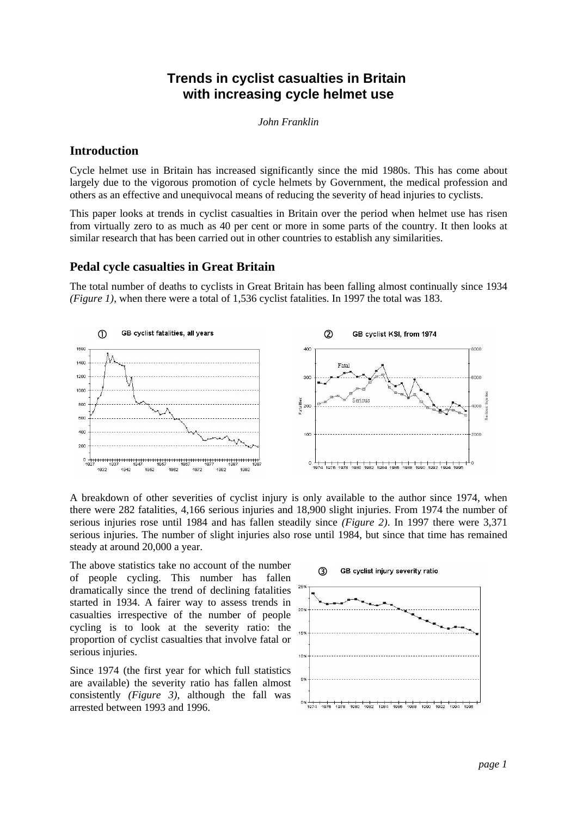# **Trends in cyclist casualties in Britain with increasing cycle helmet use**

*John Franklin*

#### **Introduction**

Cycle helmet use in Britain has increased significantly since the mid 1980s. This has come about largely due to the vigorous promotion of cycle helmets by Government, the medical profession and others as an effective and unequivocal means of reducing the severity of head injuries to cyclists.

This paper looks at trends in cyclist casualties in Britain over the period when helmet use has risen from virtually zero to as much as 40 per cent or more in some parts of the country. It then looks at similar research that has been carried out in other countries to establish any similarities.

## **Pedal cycle casualties in Great Britain**

The total number of deaths to cyclists in Great Britain has been falling almost continually since 1934 *(Figure 1)*, when there were a total of 1,536 cyclist fatalities. In 1997 the total was 183.



A breakdown of other severities of cyclist injury is only available to the author since 1974, when there were 282 fatalities, 4,166 serious injuries and 18,900 slight injuries. From 1974 the number of serious injuries rose until 1984 and has fallen steadily since *(Figure 2)*. In 1997 there were 3,371 serious injuries. The number of slight injuries also rose until 1984, but since that time has remained steady at around 20,000 a year.

The above statistics take no account of the number of people cycling. This number has fallen dramatically since the trend of declining fatalities started in 1934. A fairer way to assess trends in casualties irrespective of the number of people cycling is to look at the severity ratio: the proportion of cyclist casualties that involve fatal or serious injuries.

Since 1974 (the first year for which full statistics are available) the severity ratio has fallen almost consistently *(Figure 3)*, although the fall was arrested between 1993 and 1996.

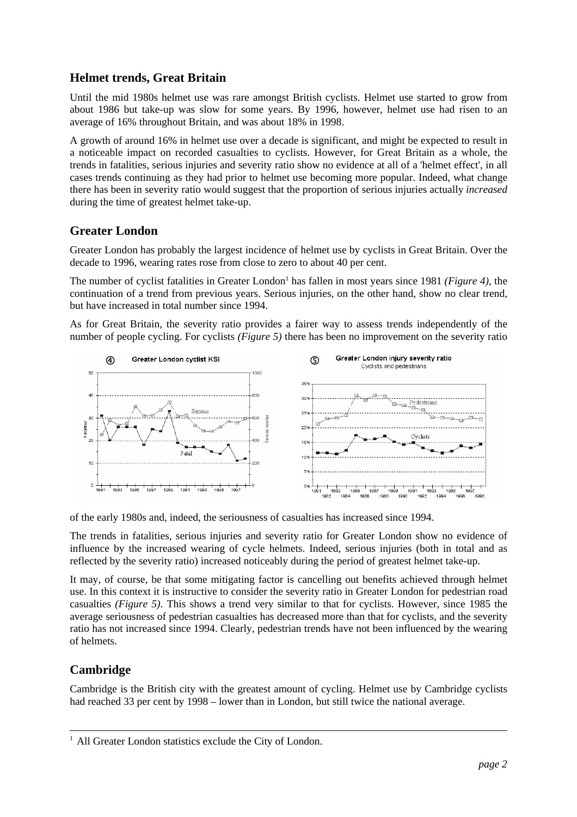# **Helmet trends, Great Britain**

Until the mid 1980s helmet use was rare amongst British cyclists. Helmet use started to grow from about 1986 but take-up was slow for some years. By 1996, however, helmet use had risen to an average of 16% throughout Britain, and was about 18% in 1998.

A growth of around 16% in helmet use over a decade is significant, and might be expected to result in a noticeable impact on recorded casualties to cyclists. However, for Great Britain as a whole, the trends in fatalities, serious injuries and severity ratio show no evidence at all of a 'helmet effect', in all cases trends continuing as they had prior to helmet use becoming more popular. Indeed, what change there has been in severity ratio would suggest that the proportion of serious injuries actually *increased* during the time of greatest helmet take-up.

## **Greater London**

Greater London has probably the largest incidence of helmet use by cyclists in Great Britain. Over the decade to 1996, wearing rates rose from close to zero to about 40 per cent.

The number of cyclist fatalities in Greater London<sup>1</sup> has fallen in most years since 1981 (Figure 4), the continuation of a trend from previous years. Serious injuries, on the other hand, show no clear trend, but have increased in total number since 1994.

As for Great Britain, the severity ratio provides a fairer way to assess trends independently of the number of people cycling. For cyclists *(Figure 5)* there has been no improvement on the severity ratio



of the early 1980s and, indeed, the seriousness of casualties has increased since 1994.

The trends in fatalities, serious injuries and severity ratio for Greater London show no evidence of influence by the increased wearing of cycle helmets. Indeed, serious injuries (both in total and as reflected by the severity ratio) increased noticeably during the period of greatest helmet take-up.

It may, of course, be that some mitigating factor is cancelling out benefits achieved through helmet use. In this context it is instructive to consider the severity ratio in Greater London for pedestrian road casualties *(Figure 5)*. This shows a trend very similar to that for cyclists. However, since 1985 the average seriousness of pedestrian casualties has decreased more than that for cyclists, and the severity ratio has not increased since 1994. Clearly, pedestrian trends have not been influenced by the wearing of helmets.

# **Cambridge**

Cambridge is the British city with the greatest amount of cycling. Helmet use by Cambridge cyclists had reached 33 per cent by 1998 – lower than in London, but still twice the national average.

<sup>&</sup>lt;sup>1</sup> All Greater London statistics exclude the City of London.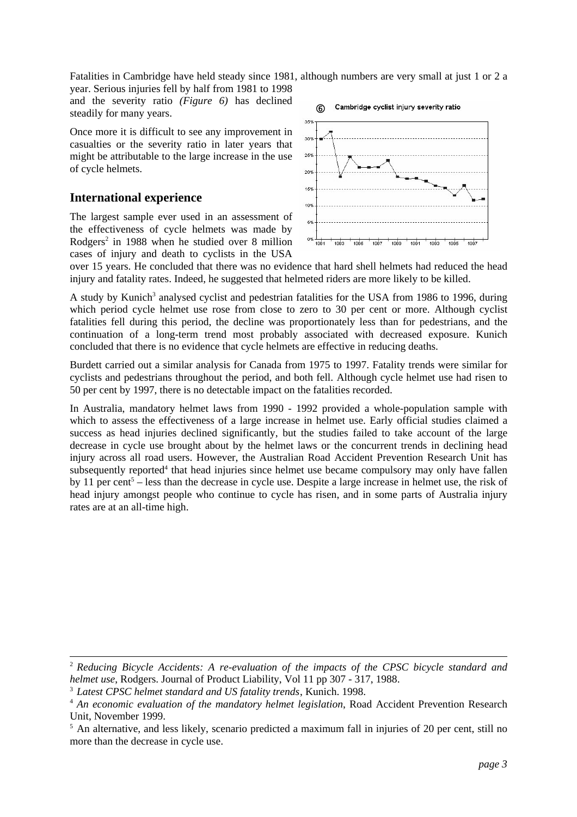Fatalities in Cambridge have held steady since 1981, although numbers are very small at just 1 or 2 a year. Serious injuries fell by half from 1981 to 1998

and the severity ratio *(Figure 6)* has declined steadily for many years.

Once more it is difficult to see any improvement in casualties or the severity ratio in later years that might be attributable to the large increase in the use of cycle helmets.

#### **International experience**

The largest sample ever used in an assessment of the effectiveness of cycle helmets was made by Rodgers<sup>2</sup> in 1988 when he studied over 8 million cases of injury and death to cyclists in the USA



over 15 years. He concluded that there was no evidence that hard shell helmets had reduced the head injury and fatality rates. Indeed, he suggested that helmeted riders are more likely to be killed.

A study by Kunich<sup>3</sup> analysed cyclist and pedestrian fatalities for the USA from 1986 to 1996, during which period cycle helmet use rose from close to zero to 30 per cent or more. Although cyclist fatalities fell during this period, the decline was proportionately less than for pedestrians, and the continuation of a long-term trend most probably associated with decreased exposure. Kunich concluded that there is no evidence that cycle helmets are effective in reducing deaths.

Burdett carried out a similar analysis for Canada from 1975 to 1997. Fatality trends were similar for cyclists and pedestrians throughout the period, and both fell. Although cycle helmet use had risen to 50 per cent by 1997, there is no detectable impact on the fatalities recorded.

In Australia, mandatory helmet laws from 1990 - 1992 provided a whole-population sample with which to assess the effectiveness of a large increase in helmet use. Early official studies claimed a success as head injuries declined significantly, but the studies failed to take account of the large decrease in cycle use brought about by the helmet laws or the concurrent trends in declining head injury across all road users. However, the Australian Road Accident Prevention Research Unit has subsequently reported<sup>4</sup> that head injuries since helmet use became compulsory may only have fallen by 11 per cent<sup>5</sup> – less than the decrease in cycle use. Despite a large increase in helmet use, the risk of head injury amongst people who continue to cycle has risen, and in some parts of Australia injury rates are at an all-time high.

<sup>2</sup> *Reducing Bicycle Accidents: A re-evaluation of the impacts of the CPSC bicycle standard and helmet use*, Rodgers. Journal of Product Liability, Vol 11 pp 307 - 317, 1988.

<sup>3</sup> *Latest CPSC helmet standard and US fatality trends*, Kunich. 1998.

<sup>4</sup> *An economic evaluation of the mandatory helmet legislation*, Road Accident Prevention Research Unit, November 1999.

<sup>&</sup>lt;sup>5</sup> An alternative, and less likely, scenario predicted a maximum fall in injuries of 20 per cent, still no more than the decrease in cycle use.